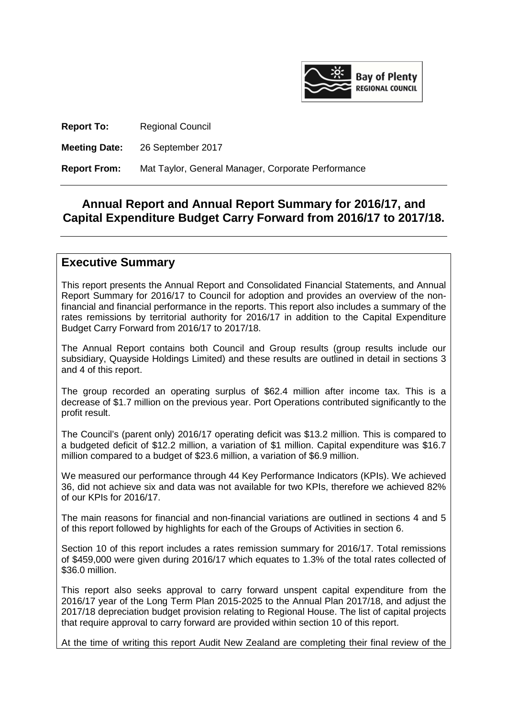

**Report To:** Regional Council

**Meeting Date:** 26 September 2017

**Report From:** Mat Taylor, General Manager, Corporate Performance

# **Annual Report and Annual Report Summary for 2016/17, and Capital Expenditure Budget Carry Forward from 2016/17 to 2017/18.**

## **Executive Summary**

This report presents the Annual Report and Consolidated Financial Statements, and Annual Report Summary for 2016/17 to Council for adoption and provides an overview of the nonfinancial and financial performance in the reports. This report also includes a summary of the rates remissions by territorial authority for 2016/17 in addition to the Capital Expenditure Budget Carry Forward from 2016/17 to 2017/18.

The Annual Report contains both Council and Group results (group results include our subsidiary, Quayside Holdings Limited) and these results are outlined in detail in sections 3 and 4 of this report.

The group recorded an operating surplus of \$62.4 million after income tax. This is a decrease of \$1.7 million on the previous year. Port Operations contributed significantly to the profit result.

The Council's (parent only) 2016/17 operating deficit was \$13.2 million. This is compared to a budgeted deficit of \$12.2 million, a variation of \$1 million. Capital expenditure was \$16.7 million compared to a budget of \$23.6 million, a variation of \$6.9 million.

We measured our performance through 44 Key Performance Indicators (KPIs). We achieved 36, did not achieve six and data was not available for two KPIs, therefore we achieved 82% of our KPIs for 2016/17.

The main reasons for financial and non-financial variations are outlined in sections 4 and 5 of this report followed by highlights for each of the Groups of Activities in section 6.

Section 10 of this report includes a rates remission summary for 2016/17. Total remissions of \$459,000 were given during 2016/17 which equates to 1.3% of the total rates collected of \$36.0 million.

This report also seeks approval to carry forward unspent capital expenditure from the 2016/17 year of the Long Term Plan 2015-2025 to the Annual Plan 2017/18, and adjust the 2017/18 depreciation budget provision relating to Regional House. The list of capital projects that require approval to carry forward are provided within section 10 of this report.

At the time of writing this report Audit New Zealand are completing their final review of the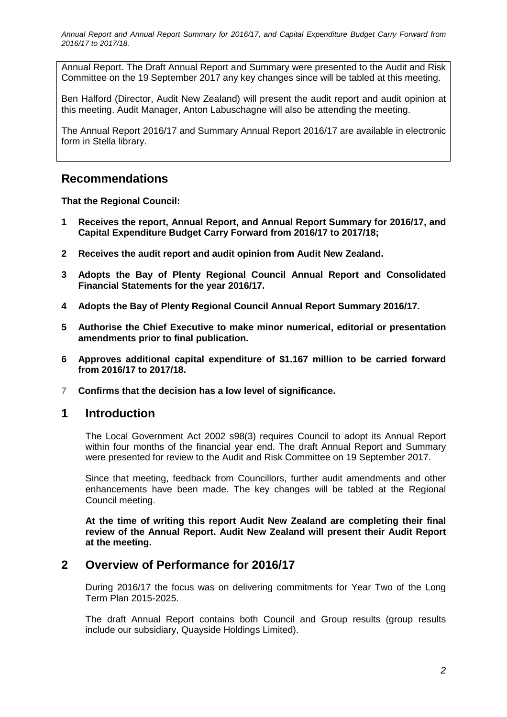Annual Report. The Draft Annual Report and Summary were presented to the Audit and Risk Committee on the 19 September 2017 any key changes since will be tabled at this meeting.

Ben Halford (Director, Audit New Zealand) will present the audit report and audit opinion at this meeting. Audit Manager, Anton Labuschagne will also be attending the meeting.

The Annual Report 2016/17 and Summary Annual Report 2016/17 are available in electronic form in Stella library.

# **Recommendations**

#### **That the Regional Council:**

- **1 Receives the report, Annual Report, and Annual Report Summary for 2016/17, and Capital Expenditure Budget Carry Forward from 2016/17 to 2017/18;**
- **2 Receives the audit report and audit opinion from Audit New Zealand.**
- **3 Adopts the Bay of Plenty Regional Council Annual Report and Consolidated Financial Statements for the year 2016/17.**
- **4 Adopts the Bay of Plenty Regional Council Annual Report Summary 2016/17.**
- **5 Authorise the Chief Executive to make minor numerical, editorial or presentation amendments prior to final publication.**
- **6 Approves additional capital expenditure of \$1.167 million to be carried forward from 2016/17 to 2017/18.**
- **7 Confirms that the decision has a low level of significance.**

### **1 Introduction**

The Local Government Act 2002 s98(3) requires Council to adopt its Annual Report within four months of the financial year end. The draft Annual Report and Summary were presented for review to the Audit and Risk Committee on 19 September 2017.

Since that meeting, feedback from Councillors, further audit amendments and other enhancements have been made. The key changes will be tabled at the Regional Council meeting.

**At the time of writing this report Audit New Zealand are completing their final review of the Annual Report. Audit New Zealand will present their Audit Report at the meeting.** 

## **2 Overview of Performance for 2016/17**

During 2016/17 the focus was on delivering commitments for Year Two of the Long Term Plan 2015-2025.

The draft Annual Report contains both Council and Group results (group results include our subsidiary, Quayside Holdings Limited).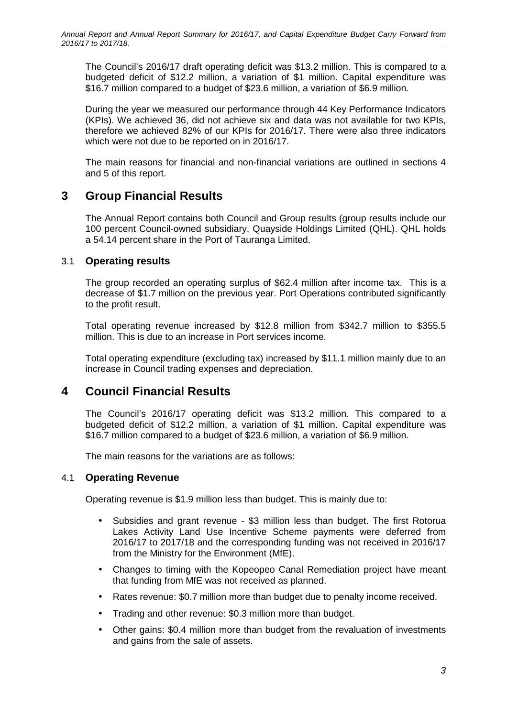The Council's 2016/17 draft operating deficit was \$13.2 million. This is compared to a budgeted deficit of \$12.2 million, a variation of \$1 million. Capital expenditure was \$16.7 million compared to a budget of \$23.6 million, a variation of \$6.9 million.

During the year we measured our performance through 44 Key Performance Indicators (KPIs). We achieved 36, did not achieve six and data was not available for two KPIs, therefore we achieved 82% of our KPIs for 2016/17. There were also three indicators which were not due to be reported on in 2016/17.

The main reasons for financial and non-financial variations are outlined in sections 4 and 5 of this report.

# **3 Group Financial Results**

The Annual Report contains both Council and Group results (group results include our 100 percent Council-owned subsidiary, Quayside Holdings Limited (QHL). QHL holds a 54.14 percent share in the Port of Tauranga Limited.

### 3.1 **Operating results**

The group recorded an operating surplus of \$62.4 million after income tax. This is a decrease of \$1.7 million on the previous year. Port Operations contributed significantly to the profit result.

Total operating revenue increased by \$12.8 million from \$342.7 million to \$355.5 million. This is due to an increase in Port services income.

Total operating expenditure (excluding tax) increased by \$11.1 million mainly due to an increase in Council trading expenses and depreciation.

# **4 Council Financial Results**

The Council's 2016/17 operating deficit was \$13.2 million. This compared to a budgeted deficit of \$12.2 million, a variation of \$1 million. Capital expenditure was \$16.7 million compared to a budget of \$23.6 million, a variation of \$6.9 million.

The main reasons for the variations are as follows:

#### 4.1 **Operating Revenue**

Operating revenue is \$1.9 million less than budget. This is mainly due to:

- Subsidies and grant revenue \$3 million less than budget. The first Rotorua Lakes Activity Land Use Incentive Scheme payments were deferred from 2016/17 to 2017/18 and the corresponding funding was not received in 2016/17 from the Ministry for the Environment (MfE).
- Changes to timing with the Kopeopeo Canal Remediation project have meant that funding from MfE was not received as planned.
- Rates revenue: \$0.7 million more than budget due to penalty income received.
- Trading and other revenue: \$0.3 million more than budget.
- Other gains: \$0.4 million more than budget from the revaluation of investments and gains from the sale of assets.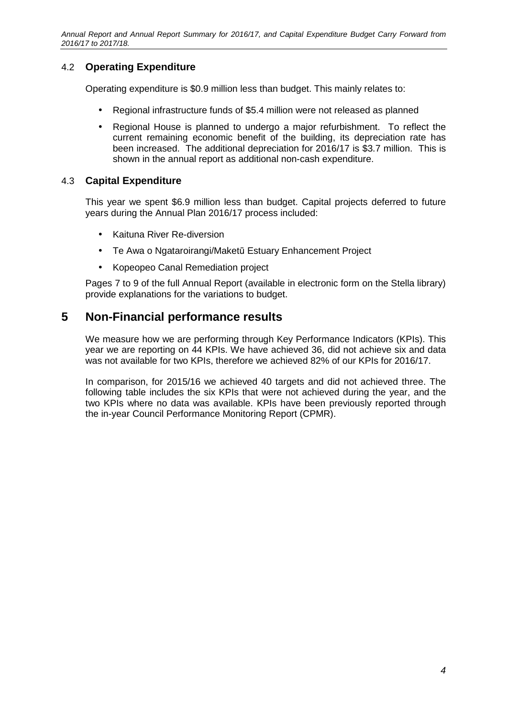## 4.2 **Operating Expenditure**

Operating expenditure is \$0.9 million less than budget. This mainly relates to:

- Regional infrastructure funds of \$5.4 million were not released as planned
- Regional House is planned to undergo a major refurbishment. To reflect the current remaining economic benefit of the building, its depreciation rate has been increased. The additional depreciation for 2016/17 is \$3.7 million. This is shown in the annual report as additional non-cash expenditure.

### 4.3 **Capital Expenditure**

This year we spent \$6.9 million less than budget. Capital projects deferred to future years during the Annual Plan 2016/17 process included:

- Kaituna River Re-diversion
- Te Awa o Ngataroirangi/Maketū Estuary Enhancement Project
- Kopeopeo Canal Remediation project

Pages 7 to 9 of the full Annual Report (available in electronic form on the Stella library) provide explanations for the variations to budget.

# **5 Non-Financial performance results**

We measure how we are performing through Key Performance Indicators (KPIs). This year we are reporting on 44 KPIs. We have achieved 36, did not achieve six and data was not available for two KPIs, therefore we achieved 82% of our KPIs for 2016/17.

In comparison, for 2015/16 we achieved 40 targets and did not achieved three. The following table includes the six KPIs that were not achieved during the year, and the two KPIs where no data was available. KPIs have been previously reported through the in-year Council Performance Monitoring Report (CPMR).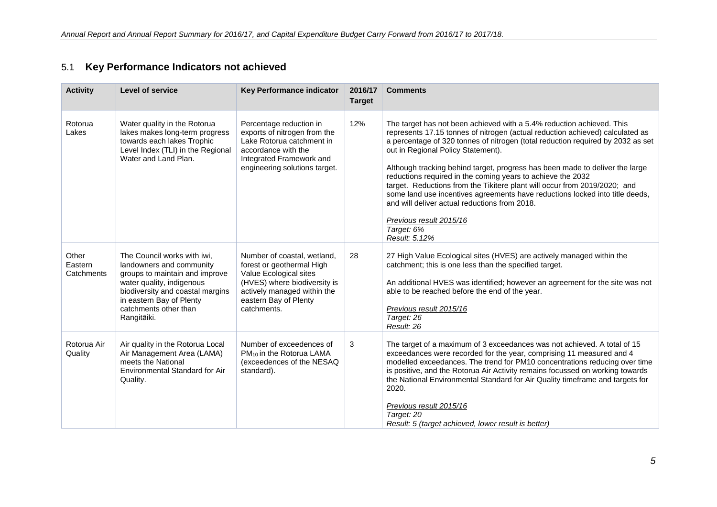| <b>Activity</b>                | <b>Level of service</b>                                                                                                                                                                                                        | Key Performance indicator                                                                                                                                                                 | 2016/17<br><b>Target</b> | <b>Comments</b>                                                                                                                                                                                                                                                                                                                                                                                                                                                                                                                                                                                                                                                                                        |
|--------------------------------|--------------------------------------------------------------------------------------------------------------------------------------------------------------------------------------------------------------------------------|-------------------------------------------------------------------------------------------------------------------------------------------------------------------------------------------|--------------------------|--------------------------------------------------------------------------------------------------------------------------------------------------------------------------------------------------------------------------------------------------------------------------------------------------------------------------------------------------------------------------------------------------------------------------------------------------------------------------------------------------------------------------------------------------------------------------------------------------------------------------------------------------------------------------------------------------------|
| Rotorua<br>Lakes               | Water quality in the Rotorua<br>lakes makes long-term progress<br>towards each lakes Trophic<br>Level Index (TLI) in the Regional<br>Water and Land Plan.                                                                      | Percentage reduction in<br>exports of nitrogen from the<br>Lake Rotorua catchment in<br>accordance with the<br>Integrated Framework and<br>engineering solutions target.                  | 12%                      | The target has not been achieved with a 5.4% reduction achieved. This<br>represents 17.15 tonnes of nitrogen (actual reduction achieved) calculated as<br>a percentage of 320 tonnes of nitrogen (total reduction required by 2032 as set<br>out in Regional Policy Statement).<br>Although tracking behind target, progress has been made to deliver the large<br>reductions required in the coming years to achieve the 2032<br>target. Reductions from the Tikitere plant will occur from 2019/2020; and<br>some land use incentives agreements have reductions locked into title deeds,<br>and will deliver actual reductions from 2018.<br>Previous result 2015/16<br>Target: 6%<br>Result: 5.12% |
| Other<br>Eastern<br>Catchments | The Council works with iwi,<br>landowners and community<br>groups to maintain and improve<br>water quality, indigenous<br>biodiversity and coastal margins<br>in eastern Bay of Plenty<br>catchments other than<br>Rangitāiki. | Number of coastal, wetland,<br>forest or geothermal High<br>Value Ecological sites<br>(HVES) where biodiversity is<br>actively managed within the<br>eastern Bay of Plenty<br>catchments. | 28                       | 27 High Value Ecological sites (HVES) are actively managed within the<br>catchment; this is one less than the specified target.<br>An additional HVES was identified; however an agreement for the site was not<br>able to be reached before the end of the year.<br>Previous result 2015/16<br>Target: 26<br>Result: 26                                                                                                                                                                                                                                                                                                                                                                               |
| Rotorua Air<br>Quality         | Air quality in the Rotorua Local<br>Air Management Area (LAMA)<br>meets the National<br>Environmental Standard for Air<br>Quality.                                                                                             | Number of exceedences of<br>PM <sub>10</sub> in the Rotorua LAMA<br>(exceedences of the NESAQ<br>standard).                                                                               | 3                        | The target of a maximum of 3 exceedances was not achieved. A total of 15<br>exceedances were recorded for the year, comprising 11 measured and 4<br>modelled exceedances. The trend for PM10 concentrations reducing over time<br>is positive, and the Rotorua Air Activity remains focussed on working towards<br>the National Environmental Standard for Air Quality timeframe and targets for<br>2020.<br>Previous result 2015/16<br>Target: 20<br>Result: 5 (target achieved, lower result is better)                                                                                                                                                                                              |

## 5.1 **Key Performance Indicators not achieved**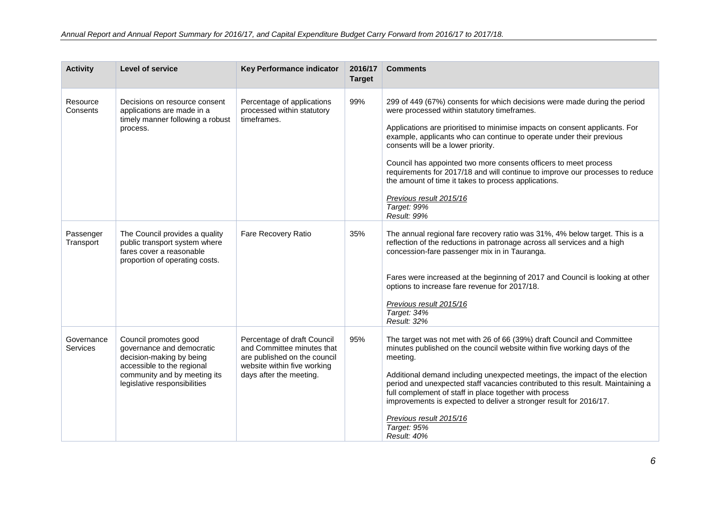| <b>Activity</b>        | <b>Level of service</b>                                                                                                                                                      | <b>Key Performance indicator</b>                                                                                                                    | 2016/17<br><b>Target</b> | <b>Comments</b>                                                                                                                                                                                                                                                                                                                                                                                                                                                                                                                                                                             |
|------------------------|------------------------------------------------------------------------------------------------------------------------------------------------------------------------------|-----------------------------------------------------------------------------------------------------------------------------------------------------|--------------------------|---------------------------------------------------------------------------------------------------------------------------------------------------------------------------------------------------------------------------------------------------------------------------------------------------------------------------------------------------------------------------------------------------------------------------------------------------------------------------------------------------------------------------------------------------------------------------------------------|
| Resource<br>Consents   | Decisions on resource consent<br>applications are made in a<br>timely manner following a robust<br>process.                                                                  | Percentage of applications<br>processed within statutory<br>timeframes.                                                                             | 99%                      | 299 of 449 (67%) consents for which decisions were made during the period<br>were processed within statutory timeframes.<br>Applications are prioritised to minimise impacts on consent applicants. For<br>example, applicants who can continue to operate under their previous<br>consents will be a lower priority.<br>Council has appointed two more consents officers to meet process<br>requirements for 2017/18 and will continue to improve our processes to reduce<br>the amount of time it takes to process applications.<br>Previous result 2015/16<br>Target: 99%<br>Result: 99% |
| Passenger<br>Transport | The Council provides a quality<br>public transport system where<br>fares cover a reasonable<br>proportion of operating costs.                                                | Fare Recovery Ratio                                                                                                                                 | 35%                      | The annual regional fare recovery ratio was 31%, 4% below target. This is a<br>reflection of the reductions in patronage across all services and a high<br>concession-fare passenger mix in in Tauranga.<br>Fares were increased at the beginning of 2017 and Council is looking at other<br>options to increase fare revenue for 2017/18.<br>Previous result 2015/16<br>Target: 34%<br>Result: 32%                                                                                                                                                                                         |
| Governance<br>Services | Council promotes good<br>governance and democratic<br>decision-making by being<br>accessible to the regional<br>community and by meeting its<br>legislative responsibilities | Percentage of draft Council<br>and Committee minutes that<br>are published on the council<br>website within five working<br>days after the meeting. | 95%                      | The target was not met with 26 of 66 (39%) draft Council and Committee<br>minutes published on the council website within five working days of the<br>meeting.<br>Additional demand including unexpected meetings, the impact of the election<br>period and unexpected staff vacancies contributed to this result. Maintaining a<br>full complement of staff in place together with process<br>improvements is expected to deliver a stronger result for 2016/17.<br>Previous result 2015/16<br>Target: 95%<br>Result: 40%                                                                  |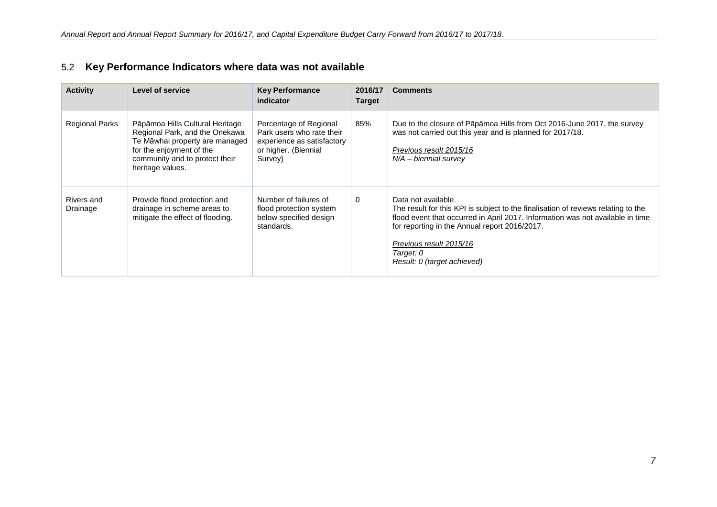| <b>Activity</b>        | <b>Level of service</b>                                                                                                                                                               | <b>Key Performance</b><br>indicator                                                                                  | 2016/17<br><b>Target</b> | <b>Comments</b>                                                                                                                                                                                                                                                                                                    |
|------------------------|---------------------------------------------------------------------------------------------------------------------------------------------------------------------------------------|----------------------------------------------------------------------------------------------------------------------|--------------------------|--------------------------------------------------------------------------------------------------------------------------------------------------------------------------------------------------------------------------------------------------------------------------------------------------------------------|
| <b>Regional Parks</b>  | Pāpāmoa Hills Cultural Heritage<br>Regional Park, and the Onekawa<br>Te Māwhai property are managed<br>for the enjoyment of the<br>community and to protect their<br>heritage values. | Percentage of Regional<br>Park users who rate their<br>experience as satisfactory<br>or higher. (Biennial<br>Survey) | 85%                      | Due to the closure of Pāpāmoa Hills from Oct 2016-June 2017, the survey<br>was not carried out this year and is planned for 2017/18.<br>Previous result 2015/16<br>$N/A - biennial survey$                                                                                                                         |
| Rivers and<br>Drainage | Provide flood protection and<br>drainage in scheme areas to<br>mitigate the effect of flooding.                                                                                       | Number of failures of<br>flood protection system<br>below specified design<br>standards.                             | 0                        | Data not available.<br>The result for this KPI is subject to the finalisation of reviews relating to the<br>flood event that occurred in April 2017. Information was not available in time<br>for reporting in the Annual report 2016/2017.<br>Previous result 2015/16<br>Target: 0<br>Result: 0 (target achieved) |

## 5.2 **Key Performance Indicators where data was not available**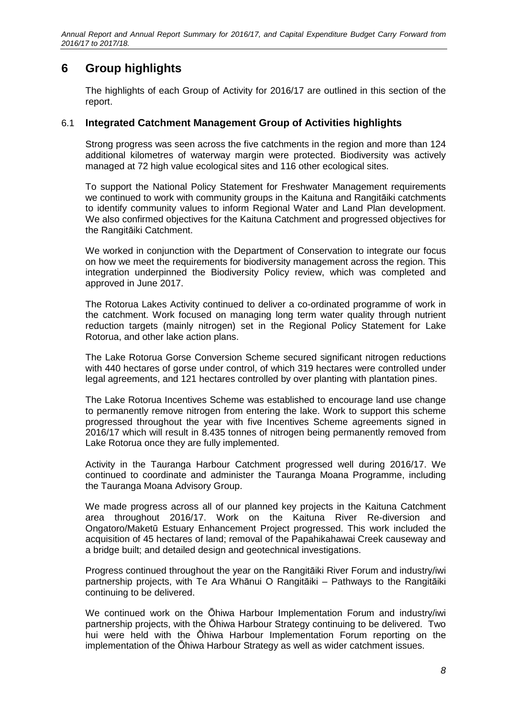# **6 Group highlights**

The highlights of each Group of Activity for 2016/17 are outlined in this section of the report.

#### 6.1 **Integrated Catchment Management Group of Activities highlights**

Strong progress was seen across the five catchments in the region and more than 124 additional kilometres of waterway margin were protected. Biodiversity was actively managed at 72 high value ecological sites and 116 other ecological sites.

To support the National Policy Statement for Freshwater Management requirements we continued to work with community groups in the Kaituna and Rangitāiki catchments to identify community values to inform Regional Water and Land Plan development. We also confirmed objectives for the Kaituna Catchment and progressed objectives for the Rangitāiki Catchment.

We worked in conjunction with the Department of Conservation to integrate our focus on how we meet the requirements for biodiversity management across the region. This integration underpinned the Biodiversity Policy review, which was completed and approved in June 2017.

The Rotorua Lakes Activity continued to deliver a co-ordinated programme of work in the catchment. Work focused on managing long term water quality through nutrient reduction targets (mainly nitrogen) set in the Regional Policy Statement for Lake Rotorua, and other lake action plans.

The Lake Rotorua Gorse Conversion Scheme secured significant nitrogen reductions with 440 hectares of gorse under control, of which 319 hectares were controlled under legal agreements, and 121 hectares controlled by over planting with plantation pines.

The Lake Rotorua Incentives Scheme was established to encourage land use change to permanently remove nitrogen from entering the lake. Work to support this scheme progressed throughout the year with five Incentives Scheme agreements signed in 2016/17 which will result in 8.435 tonnes of nitrogen being permanently removed from Lake Rotorua once they are fully implemented.

Activity in the Tauranga Harbour Catchment progressed well during 2016/17. We continued to coordinate and administer the Tauranga Moana Programme, including the Tauranga Moana Advisory Group.

We made progress across all of our planned key projects in the Kaituna Catchment area throughout 2016/17. Work on the Kaituna River Re-diversion and Ongatoro/Maketū Estuary Enhancement Project progressed. This work included the acquisition of 45 hectares of land; removal of the Papahikahawai Creek causeway and a bridge built; and detailed design and geotechnical investigations.

Progress continued throughout the year on the Rangitāiki River Forum and industry/iwi partnership projects, with Te Ara Whānui O Rangitāiki – Pathways to the Rangitāiki continuing to be delivered.

We continued work on the Ōhiwa Harbour Implementation Forum and industry/iwi partnership projects, with the Ōhiwa Harbour Strategy continuing to be delivered. Two hui were held with the Ōhiwa Harbour Implementation Forum reporting on the implementation of the Ōhiwa Harbour Strategy as well as wider catchment issues.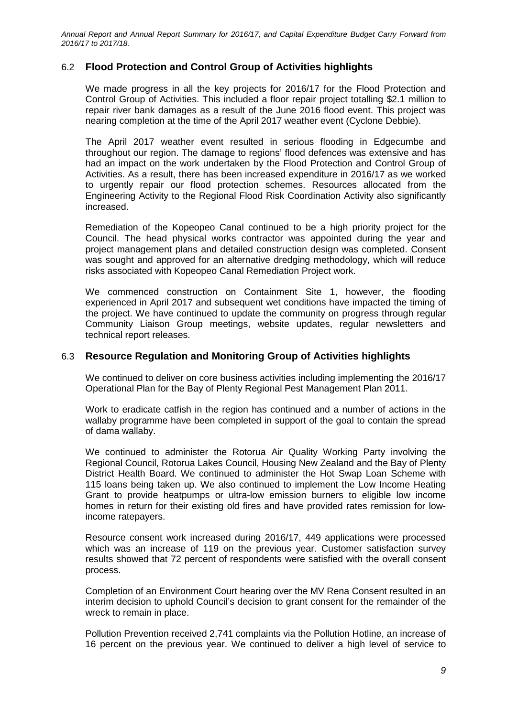### 6.2 **Flood Protection and Control Group of Activities highlights**

We made progress in all the key projects for 2016/17 for the Flood Protection and Control Group of Activities. This included a floor repair project totalling \$2.1 million to repair river bank damages as a result of the June 2016 flood event. This project was nearing completion at the time of the April 2017 weather event (Cyclone Debbie).

The April 2017 weather event resulted in serious flooding in Edgecumbe and throughout our region. The damage to regions' flood defences was extensive and has had an impact on the work undertaken by the Flood Protection and Control Group of Activities. As a result, there has been increased expenditure in 2016/17 as we worked to urgently repair our flood protection schemes. Resources allocated from the Engineering Activity to the Regional Flood Risk Coordination Activity also significantly increased.

Remediation of the Kopeopeo Canal continued to be a high priority project for the Council. The head physical works contractor was appointed during the year and project management plans and detailed construction design was completed. Consent was sought and approved for an alternative dredging methodology, which will reduce risks associated with Kopeopeo Canal Remediation Project work.

We commenced construction on Containment Site 1, however, the flooding experienced in April 2017 and subsequent wet conditions have impacted the timing of the project. We have continued to update the community on progress through regular Community Liaison Group meetings, website updates, regular newsletters and technical report releases.

#### 6.3 **Resource Regulation and Monitoring Group of Activities highlights**

We continued to deliver on core business activities including implementing the 2016/17 Operational Plan for the Bay of Plenty Regional Pest Management Plan 2011.

Work to eradicate catfish in the region has continued and a number of actions in the wallaby programme have been completed in support of the goal to contain the spread of dama wallaby.

We continued to administer the Rotorua Air Quality Working Party involving the Regional Council, Rotorua Lakes Council, Housing New Zealand and the Bay of Plenty District Health Board. We continued to administer the Hot Swap Loan Scheme with 115 loans being taken up. We also continued to implement the Low Income Heating Grant to provide heatpumps or ultra-low emission burners to eligible low income homes in return for their existing old fires and have provided rates remission for lowincome ratepayers.

Resource consent work increased during 2016/17, 449 applications were processed which was an increase of 119 on the previous year. Customer satisfaction survey results showed that 72 percent of respondents were satisfied with the overall consent process.

Completion of an Environment Court hearing over the MV Rena Consent resulted in an interim decision to uphold Council's decision to grant consent for the remainder of the wreck to remain in place.

Pollution Prevention received 2,741 complaints via the Pollution Hotline, an increase of 16 percent on the previous year. We continued to deliver a high level of service to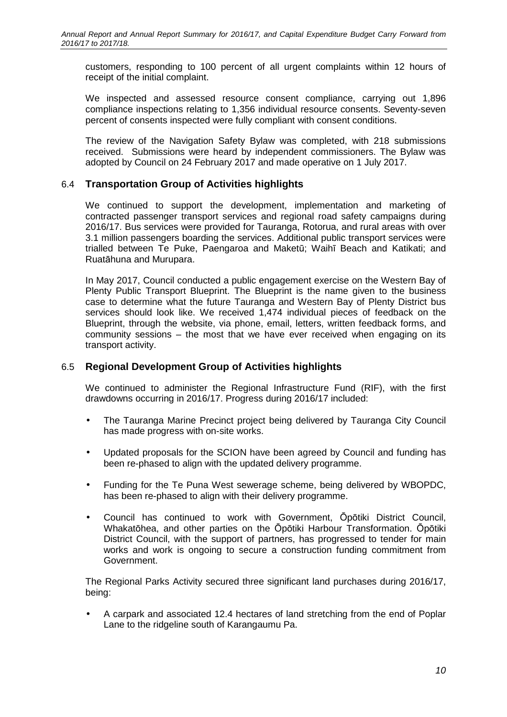customers, responding to 100 percent of all urgent complaints within 12 hours of receipt of the initial complaint.

We inspected and assessed resource consent compliance, carrying out 1,896 compliance inspections relating to 1,356 individual resource consents. Seventy-seven percent of consents inspected were fully compliant with consent conditions.

The review of the Navigation Safety Bylaw was completed, with 218 submissions received. Submissions were heard by independent commissioners. The Bylaw was adopted by Council on 24 February 2017 and made operative on 1 July 2017.

#### 6.4 **Transportation Group of Activities highlights**

We continued to support the development, implementation and marketing of contracted passenger transport services and regional road safety campaigns during 2016/17. Bus services were provided for Tauranga, Rotorua, and rural areas with over 3.1 million passengers boarding the services. Additional public transport services were trialled between Te Puke, Paengaroa and Maketū; Waihī Beach and Katikati; and Ruatāhuna and Murupara.

In May 2017, Council conducted a public engagement exercise on the Western Bay of Plenty Public Transport Blueprint. The Blueprint is the name given to the business case to determine what the future Tauranga and Western Bay of Plenty District bus services should look like. We received 1,474 individual pieces of feedback on the Blueprint, through the website, via phone, email, letters, written feedback forms, and community sessions – the most that we have ever received when engaging on its transport activity.

#### 6.5 **Regional Development Group of Activities highlights**

We continued to administer the Regional Infrastructure Fund (RIF), with the first drawdowns occurring in 2016/17. Progress during 2016/17 included:

- The Tauranga Marine Precinct project being delivered by Tauranga City Council has made progress with on-site works.
- Updated proposals for the SCION have been agreed by Council and funding has been re-phased to align with the updated delivery programme.
- Funding for the Te Puna West sewerage scheme, being delivered by WBOPDC, has been re-phased to align with their delivery programme.
- Council has continued to work with Government, Ōpōtiki District Council, Whakatōhea, and other parties on the Ōpōtiki Harbour Transformation. Ōpōtiki District Council, with the support of partners, has progressed to tender for main works and work is ongoing to secure a construction funding commitment from Government.

The Regional Parks Activity secured three significant land purchases during 2016/17, being:

• A carpark and associated 12.4 hectares of land stretching from the end of Poplar Lane to the ridgeline south of Karangaumu Pa.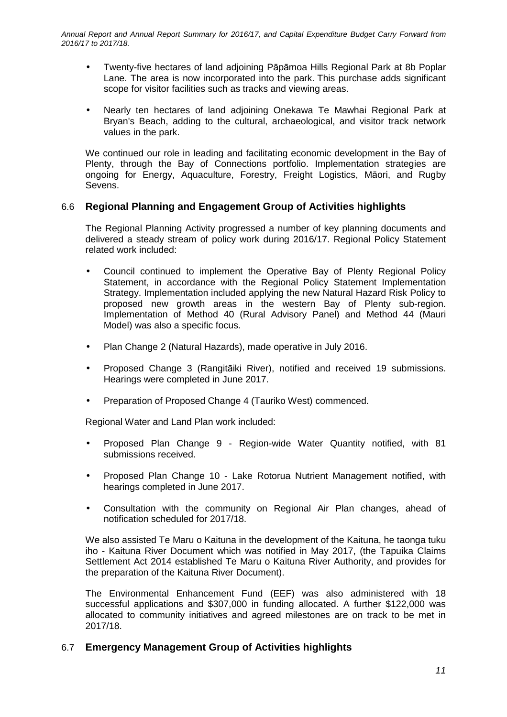- Twenty-five hectares of land adjoining Pāpāmoa Hills Regional Park at 8b Poplar Lane. The area is now incorporated into the park. This purchase adds significant scope for visitor facilities such as tracks and viewing areas.
- Nearly ten hectares of land adjoining Onekawa Te Mawhai Regional Park at Bryan's Beach, adding to the cultural, archaeological, and visitor track network values in the park.

We continued our role in leading and facilitating economic development in the Bay of Plenty, through the Bay of Connections portfolio. Implementation strategies are ongoing for Energy, Aquaculture, Forestry, Freight Logistics, Māori, and Rugby Sevens.

#### 6.6 **Regional Planning and Engagement Group of Activities highlights**

The Regional Planning Activity progressed a number of key planning documents and delivered a steady stream of policy work during 2016/17. Regional Policy Statement related work included:

- Council continued to implement the Operative Bay of Plenty Regional Policy Statement, in accordance with the Regional Policy Statement Implementation Strategy. Implementation included applying the new Natural Hazard Risk Policy to proposed new growth areas in the western Bay of Plenty sub-region. Implementation of Method 40 (Rural Advisory Panel) and Method 44 (Mauri Model) was also a specific focus.
- Plan Change 2 (Natural Hazards), made operative in July 2016.
- Proposed Change 3 (Rangitāiki River), notified and received 19 submissions. Hearings were completed in June 2017.
- Preparation of Proposed Change 4 (Tauriko West) commenced.

Regional Water and Land Plan work included:

- Proposed Plan Change 9 Region-wide Water Quantity notified, with 81 submissions received.
- Proposed Plan Change 10 Lake Rotorua Nutrient Management notified, with hearings completed in June 2017.
- Consultation with the community on Regional Air Plan changes, ahead of notification scheduled for 2017/18.

We also assisted Te Maru o Kaituna in the development of the Kaituna, he taonga tuku iho - Kaituna River Document which was notified in May 2017, (the Tapuika Claims Settlement Act 2014 established Te Maru o Kaituna River Authority, and provides for the preparation of the Kaituna River Document).

The Environmental Enhancement Fund (EEF) was also administered with 18 successful applications and \$307,000 in funding allocated. A further \$122,000 was allocated to community initiatives and agreed milestones are on track to be met in 2017/18.

#### 6.7 **Emergency Management Group of Activities highlights**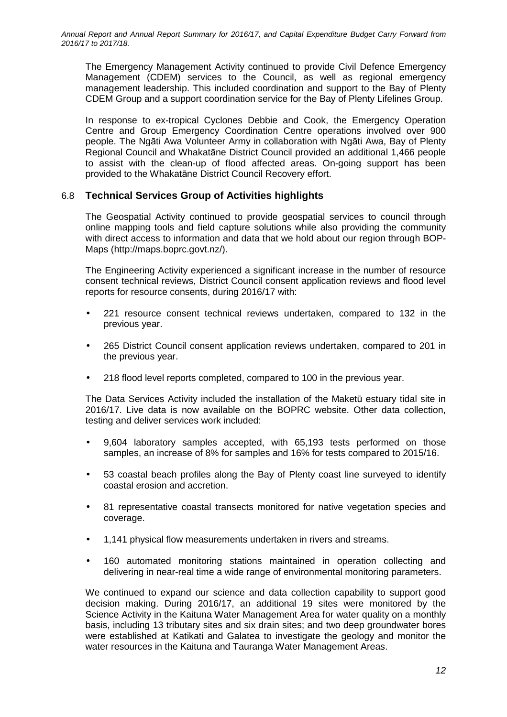The Emergency Management Activity continued to provide Civil Defence Emergency Management (CDEM) services to the Council, as well as regional emergency management leadership. This included coordination and support to the Bay of Plenty CDEM Group and a support coordination service for the Bay of Plenty Lifelines Group.

In response to ex-tropical Cyclones Debbie and Cook, the Emergency Operation Centre and Group Emergency Coordination Centre operations involved over 900 people. The Ngāti Awa Volunteer Army in collaboration with Ngāti Awa, Bay of Plenty Regional Council and Whakatāne District Council provided an additional 1,466 people to assist with the clean-up of flood affected areas. On-going support has been provided to the Whakatāne District Council Recovery effort.

### 6.8 **Technical Services Group of Activities highlights**

The Geospatial Activity continued to provide geospatial services to council through online mapping tools and field capture solutions while also providing the community with direct access to information and data that we hold about our region through BOP-Maps (http://maps.boprc.govt.nz/).

The Engineering Activity experienced a significant increase in the number of resource consent technical reviews, District Council consent application reviews and flood level reports for resource consents, during 2016/17 with:

- 221 resource consent technical reviews undertaken, compared to 132 in the previous year.
- 265 District Council consent application reviews undertaken, compared to 201 in the previous year.
- 218 flood level reports completed, compared to 100 in the previous year.

The Data Services Activity included the installation of the Maketū estuary tidal site in 2016/17. Live data is now available on the BOPRC website. Other data collection, testing and deliver services work included:

- 9,604 laboratory samples accepted, with 65,193 tests performed on those samples, an increase of 8% for samples and 16% for tests compared to 2015/16.
- 53 coastal beach profiles along the Bay of Plenty coast line surveyed to identify coastal erosion and accretion.
- 81 representative coastal transects monitored for native vegetation species and coverage.
- 1,141 physical flow measurements undertaken in rivers and streams.
- 160 automated monitoring stations maintained in operation collecting and delivering in near-real time a wide range of environmental monitoring parameters.

We continued to expand our science and data collection capability to support good decision making. During 2016/17, an additional 19 sites were monitored by the Science Activity in the Kaituna Water Management Area for water quality on a monthly basis, including 13 tributary sites and six drain sites; and two deep groundwater bores were established at Katikati and Galatea to investigate the geology and monitor the water resources in the Kaituna and Tauranga Water Management Areas.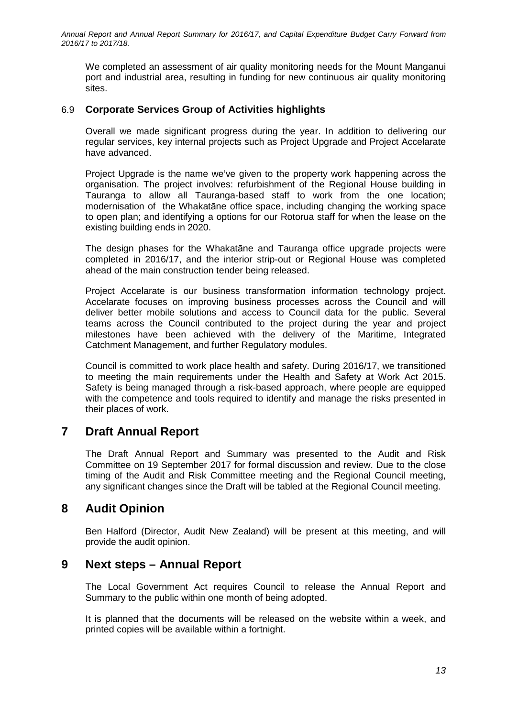We completed an assessment of air quality monitoring needs for the Mount Manganui port and industrial area, resulting in funding for new continuous air quality monitoring sites.

### 6.9 **Corporate Services Group of Activities highlights**

Overall we made significant progress during the year. In addition to delivering our regular services, key internal projects such as Project Upgrade and Project Accelarate have advanced.

Project Upgrade is the name we've given to the property work happening across the organisation. The project involves: refurbishment of the Regional House building in Tauranga to allow all Tauranga-based staff to work from the one location; modernisation of the Whakatāne office space, including changing the working space to open plan; and identifying a options for our Rotorua staff for when the lease on the existing building ends in 2020.

The design phases for the Whakatāne and Tauranga office upgrade projects were completed in 2016/17, and the interior strip-out or Regional House was completed ahead of the main construction tender being released.

Project Accelarate is our business transformation information technology project. Accelarate focuses on improving business processes across the Council and will deliver better mobile solutions and access to Council data for the public. Several teams across the Council contributed to the project during the year and project milestones have been achieved with the delivery of the Maritime, Integrated Catchment Management, and further Regulatory modules.

Council is committed to work place health and safety. During 2016/17, we transitioned to meeting the main requirements under the Health and Safety at Work Act 2015. Safety is being managed through a risk-based approach, where people are equipped with the competence and tools required to identify and manage the risks presented in their places of work.

# **7 Draft Annual Report**

The Draft Annual Report and Summary was presented to the Audit and Risk Committee on 19 September 2017 for formal discussion and review. Due to the close timing of the Audit and Risk Committee meeting and the Regional Council meeting, any significant changes since the Draft will be tabled at the Regional Council meeting.

# **8 Audit Opinion**

Ben Halford (Director, Audit New Zealand) will be present at this meeting, and will provide the audit opinion.

# **9 Next steps – Annual Report**

The Local Government Act requires Council to release the Annual Report and Summary to the public within one month of being adopted.

It is planned that the documents will be released on the website within a week, and printed copies will be available within a fortnight.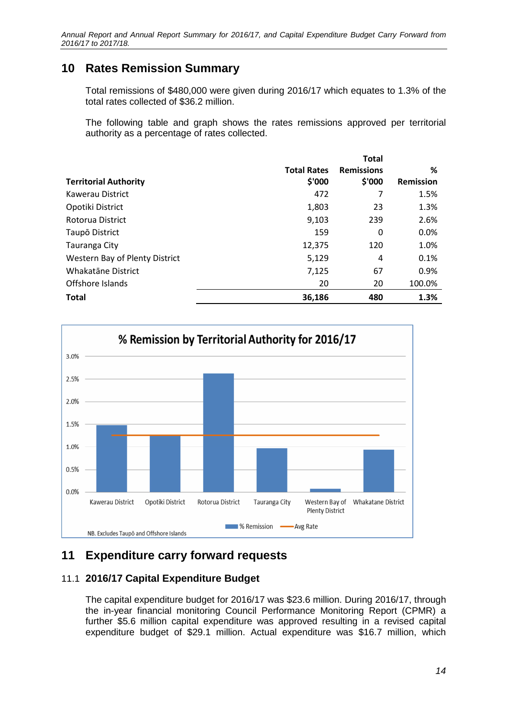# **10 Rates Remission Summary**

Total remissions of \$480,000 were given during 2016/17 which equates to 1.3% of the total rates collected of \$36.2 million.

The following table and graph shows the rates remissions approved per territorial authority as a percentage of rates collected.

|                                |                    | <b>Total</b>      |                  |
|--------------------------------|--------------------|-------------------|------------------|
|                                | <b>Total Rates</b> | <b>Remissions</b> | %                |
| <b>Territorial Authority</b>   | \$'000             | \$'000            | <b>Remission</b> |
| Kawerau District               | 472                | 7                 | 1.5%             |
| Opotiki District               | 1,803              | 23                | 1.3%             |
| Rotorua District               | 9,103              | 239               | 2.6%             |
| Taupō District                 | 159                | 0                 | 0.0%             |
| Tauranga City                  | 12,375             | 120               | 1.0%             |
| Western Bay of Plenty District | 5,129              | 4                 | 0.1%             |
| Whakatāne District             | 7,125              | 67                | 0.9%             |
| Offshore Islands               | 20                 | 20                | 100.0%           |
| <b>Total</b>                   | 36,186             | 480               | 1.3%             |



# **11 Expenditure carry forward requests**

### 11.1 **2016/17 Capital Expenditure Budget**

The capital expenditure budget for 2016/17 was \$23.6 million. During 2016/17, through the in-year financial monitoring Council Performance Monitoring Report (CPMR) a further \$5.6 million capital expenditure was approved resulting in a revised capital expenditure budget of \$29.1 million. Actual expenditure was \$16.7 million, which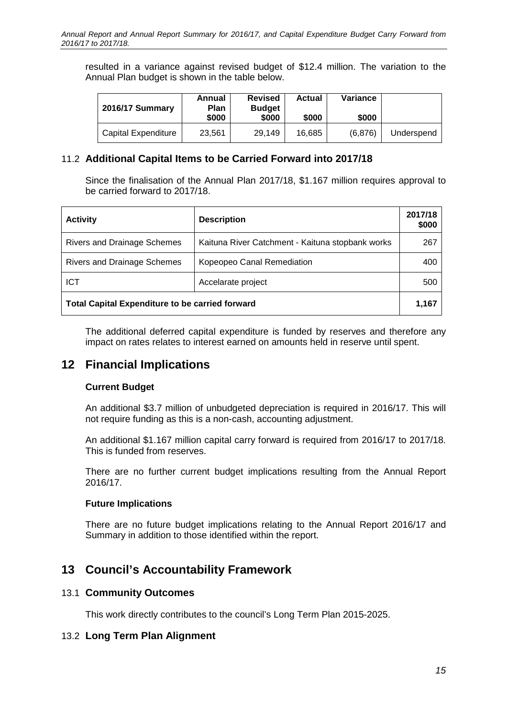resulted in a variance against revised budget of \$12.4 million. The variation to the Annual Plan budget is shown in the table below.

| <b>2016/17 Summary</b> | Annual<br><b>Plan</b><br>\$000 | <b>Revised</b><br><b>Budget</b><br>\$000 | <b>Actual</b><br>\$000 | Variance<br>\$000 |            |
|------------------------|--------------------------------|------------------------------------------|------------------------|-------------------|------------|
| Capital Expenditure    | 23,561                         | 29.149                                   | 16.685                 | (6,876)           | Underspend |

### 11.2 **Additional Capital Items to be Carried Forward into 2017/18**

Since the finalisation of the Annual Plan 2017/18, \$1.167 million requires approval to be carried forward to 2017/18.

| <b>Activity</b>                                        | <b>Description</b>                               | 2017/18<br>\$000 |
|--------------------------------------------------------|--------------------------------------------------|------------------|
| <b>Rivers and Drainage Schemes</b>                     | Kaituna River Catchment - Kaituna stopbank works | 267              |
| <b>Rivers and Drainage Schemes</b>                     | Kopeopeo Canal Remediation                       | 400              |
| <b>ICT</b>                                             | Accelarate project                               | 500              |
| <b>Total Capital Expenditure to be carried forward</b> |                                                  |                  |

The additional deferred capital expenditure is funded by reserves and therefore any impact on rates relates to interest earned on amounts held in reserve until spent.

# **12 Financial Implications**

#### **Current Budget**

An additional \$3.7 million of unbudgeted depreciation is required in 2016/17. This will not require funding as this is a non-cash, accounting adjustment.

An additional \$1.167 million capital carry forward is required from 2016/17 to 2017/18. This is funded from reserves.

There are no further current budget implications resulting from the Annual Report 2016/17.

#### **Future Implications**

There are no future budget implications relating to the Annual Report 2016/17 and Summary in addition to those identified within the report.

# **13 Council's Accountability Framework**

#### 13.1 **Community Outcomes**

This work directly contributes to the council's Long Term Plan 2015-2025.

### 13.2 **Long Term Plan Alignment**